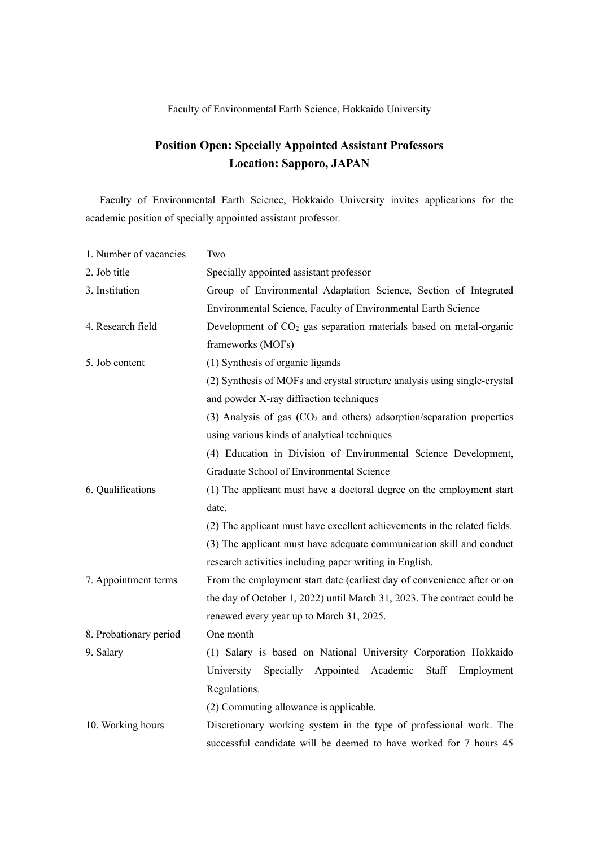## Faculty of Environmental Earth Science, Hokkaido University

## **Position Open: Specially Appointed Assistant Professors Location: Sapporo, JAPAN**

Faculty of Environmental Earth Science, Hokkaido University invites applications for the academic position of specially appointed assistant professor.

| 1. Number of vacancies | Two                                                                       |
|------------------------|---------------------------------------------------------------------------|
| 2. Job title           | Specially appointed assistant professor                                   |
| 3. Institution         | Group of Environmental Adaptation Science, Section of Integrated          |
|                        | Environmental Science, Faculty of Environmental Earth Science             |
| 4. Research field      | Development of $CO2$ gas separation materials based on metal-organic      |
|                        | frameworks (MOFs)                                                         |
| 5. Job content         | (1) Synthesis of organic ligands                                          |
|                        | (2) Synthesis of MOFs and crystal structure analysis using single-crystal |
|                        | and powder X-ray diffraction techniques                                   |
|                        | (3) Analysis of gas $(CO2$ and others) adsorption/separation properties   |
|                        | using various kinds of analytical techniques                              |
|                        | (4) Education in Division of Environmental Science Development,           |
|                        | Graduate School of Environmental Science                                  |
| 6. Qualifications      | (1) The applicant must have a doctoral degree on the employment start     |
|                        | date.                                                                     |
|                        | (2) The applicant must have excellent achievements in the related fields. |
|                        | (3) The applicant must have adequate communication skill and conduct      |
|                        | research activities including paper writing in English.                   |
| 7. Appointment terms   | From the employment start date (earliest day of convenience after or on   |
|                        | the day of October 1, 2022) until March 31, 2023. The contract could be   |
|                        | renewed every year up to March 31, 2025.                                  |
| 8. Probationary period | One month                                                                 |
| 9. Salary              | (1) Salary is based on National University Corporation Hokkaido           |
|                        | University Specially Appointed Academic<br>Staff<br>Employment            |
|                        | Regulations.                                                              |
|                        | (2) Commuting allowance is applicable.                                    |
| 10. Working hours      | Discretionary working system in the type of professional work. The        |
|                        | successful candidate will be deemed to have worked for 7 hours 45         |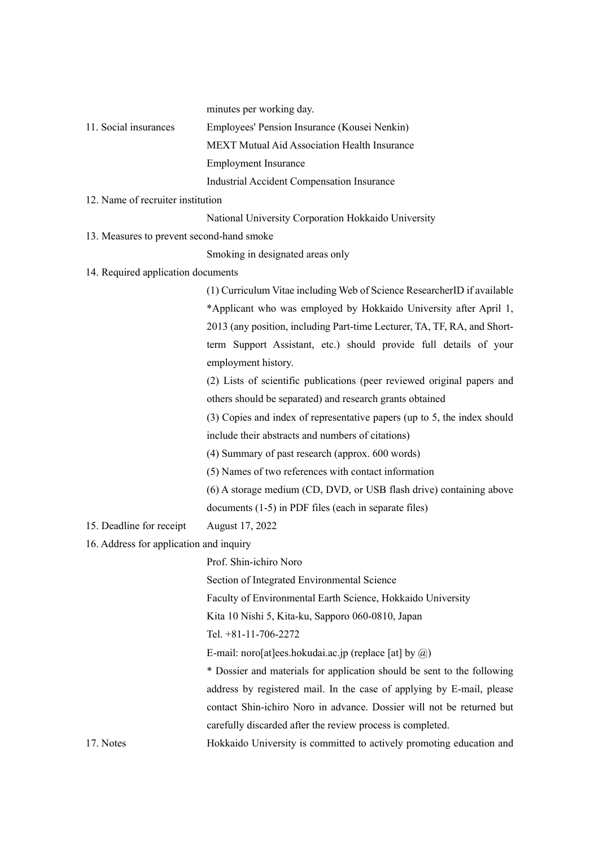minutes per working day.

| 11. Social insurances                     | Employees' Pension Insurance (Kousei Nenkin)                             |  |
|-------------------------------------------|--------------------------------------------------------------------------|--|
|                                           | <b>MEXT Mutual Aid Association Health Insurance</b>                      |  |
|                                           | <b>Employment Insurance</b>                                              |  |
|                                           | Industrial Accident Compensation Insurance                               |  |
| 12. Name of recruiter institution         |                                                                          |  |
|                                           | National University Corporation Hokkaido University                      |  |
| 13. Measures to prevent second-hand smoke |                                                                          |  |
|                                           | Smoking in designated areas only                                         |  |
| 14. Required application documents        |                                                                          |  |
|                                           | (1) Curriculum Vitae including Web of Science ResearcherID if available  |  |
|                                           | *Applicant who was employed by Hokkaido University after April 1,        |  |
|                                           | 2013 (any position, including Part-time Lecturer, TA, TF, RA, and Short- |  |
|                                           | term Support Assistant, etc.) should provide full details of your        |  |
|                                           | employment history.                                                      |  |
|                                           | (2) Lists of scientific publications (peer reviewed original papers and  |  |
|                                           | others should be separated) and research grants obtained                 |  |
|                                           | (3) Copies and index of representative papers (up to 5, the index should |  |
|                                           | include their abstracts and numbers of citations)                        |  |
|                                           | (4) Summary of past research (approx. 600 words)                         |  |
|                                           | (5) Names of two references with contact information                     |  |
|                                           | (6) A storage medium (CD, DVD, or USB flash drive) containing above      |  |
|                                           | documents (1-5) in PDF files (each in separate files)                    |  |
| 15. Deadline for receipt                  | August 17, 2022                                                          |  |
| 16. Address for application and inquiry   |                                                                          |  |
|                                           | Prof. Shin-ichiro Noro                                                   |  |
|                                           | Section of Integrated Environmental Science                              |  |
|                                           | Faculty of Environmental Earth Science, Hokkaido University              |  |
|                                           | Kita 10 Nishi 5, Kita-ku, Sapporo 060-0810, Japan                        |  |
|                                           | Tel. +81-11-706-2272                                                     |  |
|                                           | E-mail: noro[at]ees.hokudai.ac.jp (replace [at] by $\omega$ )            |  |
|                                           | * Dossier and materials for application should be sent to the following  |  |
|                                           | address by registered mail. In the case of applying by E-mail, please    |  |
|                                           | contact Shin-ichiro Noro in advance. Dossier will not be returned but    |  |
|                                           | carefully discarded after the review process is completed.               |  |
| 17. Notes                                 | Hokkaido University is committed to actively promoting education and     |  |